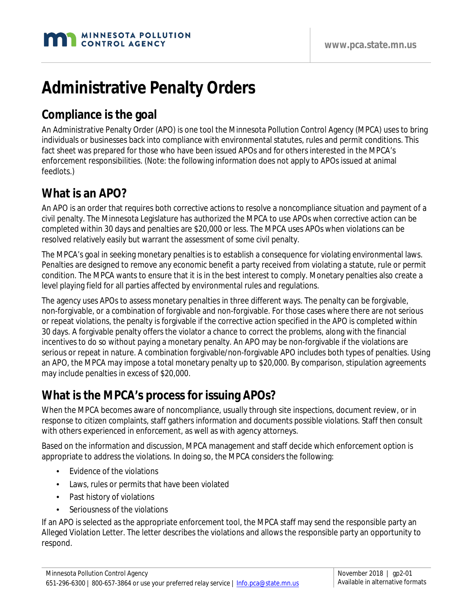

# **Administrative Penalty Orders**

## **Compliance is the goal**

An Administrative Penalty Order (APO) is one tool the Minnesota Pollution Control Agency (MPCA) uses to bring individuals or businesses back into compliance with environmental statutes, rules and permit conditions. This fact sheet was prepared for those who have been issued APOs and for others interested in the MPCA's enforcement responsibilities. (Note: the following information does not apply to APOs issued at animal feedlots.)

#### **What is an APO?**

An APO is an order that requires both corrective actions to resolve a noncompliance situation and payment of a civil penalty. The Minnesota Legislature has authorized the MPCA to use APOs when corrective action can be completed within 30 days and penalties are \$20,000 or less. The MPCA uses APOs when violations can be resolved relatively easily but warrant the assessment of some civil penalty.

The MPCA's goal in seeking monetary penalties is to establish a consequence for violating environmental laws. Penalties are designed to remove any economic benefit a party received from violating a statute, rule or permit condition. The MPCA wants to ensure that it is in the best interest to comply. Monetary penalties also create a level playing field for all parties affected by environmental rules and regulations.

The agency uses APOs to assess monetary penalties in three different ways. The penalty can be forgivable, non-forgivable, or a combination of forgivable and non-forgivable. For those cases where there are not serious or repeat violations, the penalty is forgivable if the corrective action specified in the APO is completed within 30 days. A forgivable penalty offers the violator a chance to correct the problems, along with the financial incentives to do so without paying a monetary penalty. An APO may be non-forgivable if the violations are serious or repeat in nature. A combination forgivable/non-forgivable APO includes both types of penalties. Using an APO, the MPCA may impose a total monetary penalty up to \$20,000. By comparison, stipulation agreements may include penalties in excess of \$20,000.

## **What is the MPCA's process for issuing APOs?**

When the MPCA becomes aware of noncompliance, usually through site inspections, document review, or in response to citizen complaints, staff gathers information and documents possible violations. Staff then consult with others experienced in enforcement, as well as with agency attorneys.

Based on the information and discussion, MPCA management and staff decide which enforcement option is appropriate to address the violations. In doing so, the MPCA considers the following:

- Evidence of the violations
- Laws, rules or permits that have been violated
- Past history of violations
- Seriousness of the violations

If an APO is selected as the appropriate enforcement tool, the MPCA staff may send the responsible party an Alleged Violation Letter. The letter describes the violations and allows the responsible party an opportunity to respond.